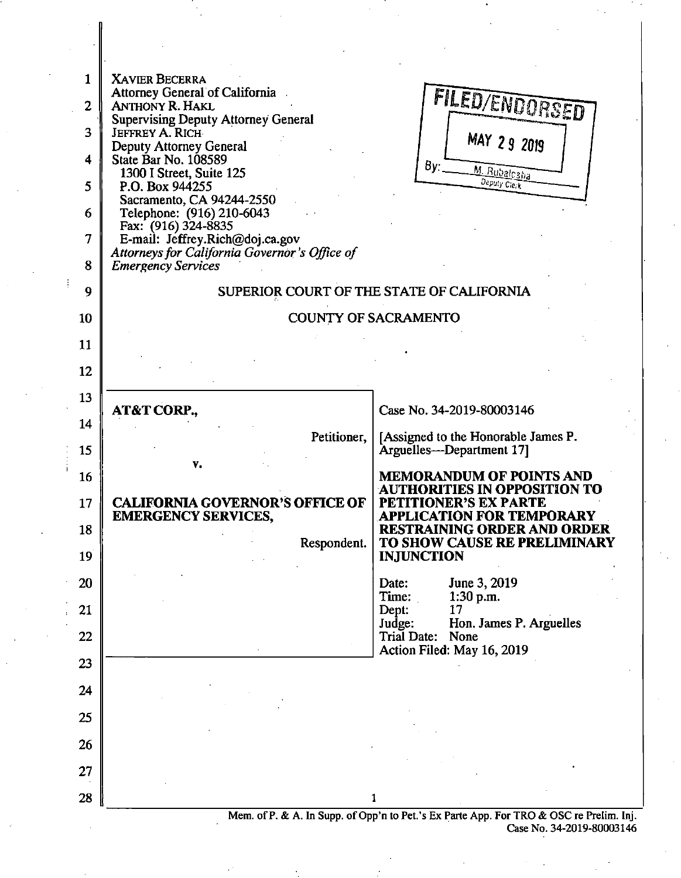

Case No. 34-2019-80003146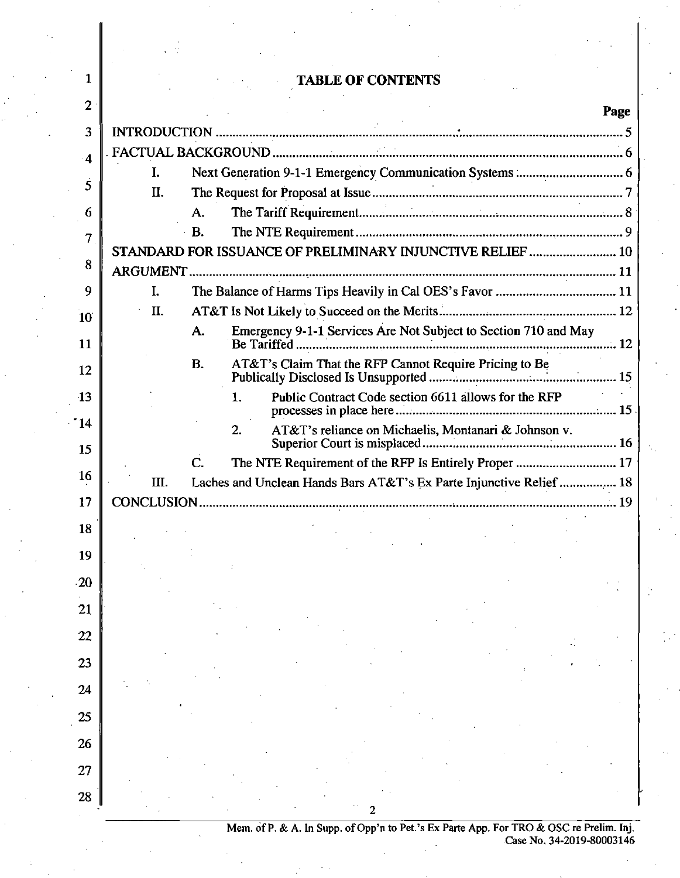|                 |     | <b>TABLE OF CONTENTS</b>                                              |      |
|-----------------|-----|-----------------------------------------------------------------------|------|
| $\overline{2}$  |     |                                                                       | Page |
| 3               |     |                                                                       |      |
| $\cdot$ 4       |     |                                                                       |      |
| 5               | I.  |                                                                       |      |
|                 | II. |                                                                       |      |
| 6               |     | A.<br>В.                                                              |      |
| 7               |     | STANDARD FOR ISSUANCE OF PRELIMINARY INJUNCTIVE RELIEF  10            |      |
| 8               |     |                                                                       |      |
| 9               | I.  |                                                                       |      |
| 10              | II. |                                                                       |      |
| 11              |     | Emergency 9-1-1 Services Are Not Subject to Section 710 and May<br>А. |      |
| 12              |     | В.                                                                    |      |
|                 |     |                                                                       |      |
| $\overline{13}$ |     | Public Contract Code section 6611 allows for the RFP<br>1.            |      |
| ' 14            |     | 2.<br>AT&T's reliance on Michaelis, Montanari & Johnson v.            |      |
| 15              |     | The NTE Requirement of the RFP Is Entirely Proper  17<br>$\mathbf{C}$ |      |
| 16              | Ш.  | Laches and Unclean Hands Bars AT&T's Ex Parte Injunctive Relief  18   |      |
| 17              |     |                                                                       |      |
| 18              |     |                                                                       |      |
| 19              |     |                                                                       |      |
| 20              |     |                                                                       |      |
|                 |     |                                                                       |      |
| 21              |     |                                                                       |      |
| 22              |     |                                                                       |      |
| 23              |     |                                                                       |      |
| 24              |     |                                                                       |      |
| 25              |     |                                                                       |      |
| 26              |     |                                                                       |      |
|                 |     |                                                                       |      |
| 27              |     |                                                                       |      |
| 28              |     |                                                                       |      |
|                 |     |                                                                       |      |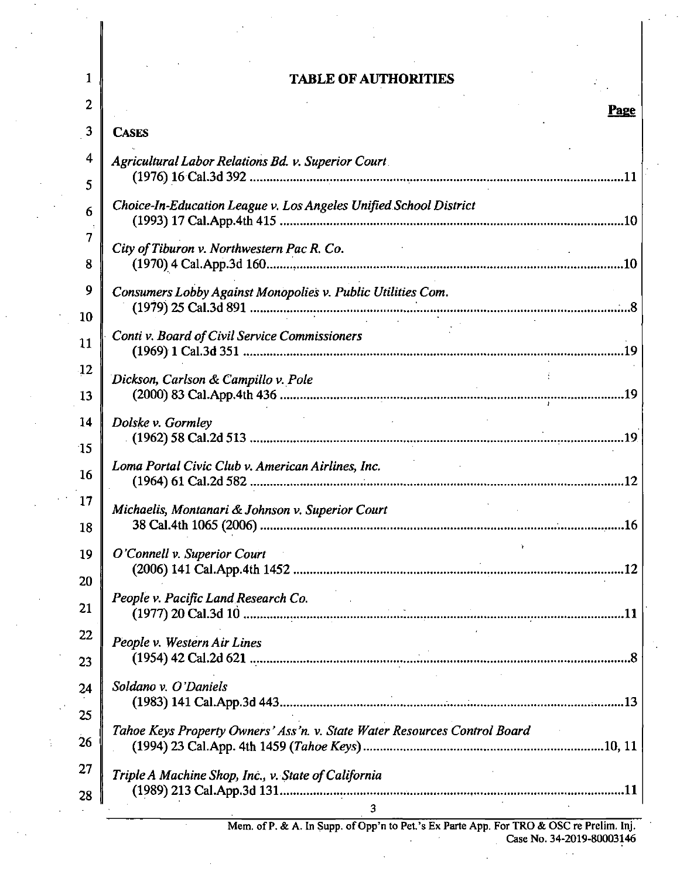# **1** TABLE OF AUTHORITIES

| 2               | Page                                                                                                                                                                      |  |  |
|-----------------|---------------------------------------------------------------------------------------------------------------------------------------------------------------------------|--|--|
| 3               | <b>CASES</b>                                                                                                                                                              |  |  |
| 4               | Agricultural Labor Relations Bd. v. Superior Court                                                                                                                        |  |  |
| 5               |                                                                                                                                                                           |  |  |
| 6               | Choice-In-Education League v. Los Angeles Unified School District                                                                                                         |  |  |
| 7               | City of Tiburon v. Northwestern Pac R. Co.<br>$\mathcal{A}^{\mathcal{A}}$ and $\mathcal{A}^{\mathcal{A}}$ and $\mathcal{A}^{\mathcal{A}}$ and $\mathcal{A}^{\mathcal{A}}$ |  |  |
| 8               |                                                                                                                                                                           |  |  |
| 9               | Consumers Lobby Against Monopolies v. Public Utilities Com.                                                                                                               |  |  |
| 10              |                                                                                                                                                                           |  |  |
| 11              | Conti v. Board of Civil Service Commissioners                                                                                                                             |  |  |
| $\overline{12}$ | Dickson, Carlson & Campillo v. Pole                                                                                                                                       |  |  |
| 13              |                                                                                                                                                                           |  |  |
| 14              | the company of the company of the company of<br>Dolske v. Gormley                                                                                                         |  |  |
| 15              | Loma Portal Civic Club v. American Airlines, Inc.                                                                                                                         |  |  |
| 16              |                                                                                                                                                                           |  |  |
| 17              | Michaelis, Montanari & Johnson v. Superior Court                                                                                                                          |  |  |
| 18              |                                                                                                                                                                           |  |  |
| 19              | O'Connell v. Superior Court                                                                                                                                               |  |  |
| 20              | People v. Pacific Land Research Co.                                                                                                                                       |  |  |
| 21              |                                                                                                                                                                           |  |  |
| 22              | People v. Western Air Lines                                                                                                                                               |  |  |
| 23              |                                                                                                                                                                           |  |  |
| 24              | Soldano v. O'Daniels                                                                                                                                                      |  |  |
| 25              | Tahoe Keys Property Owners' Ass'n. v. State Water Resources Control Board                                                                                                 |  |  |
| 26              |                                                                                                                                                                           |  |  |
| 27              | Triple A Machine Shop, Inc., v. State of California                                                                                                                       |  |  |
| 28              | $\overline{3}$                                                                                                                                                            |  |  |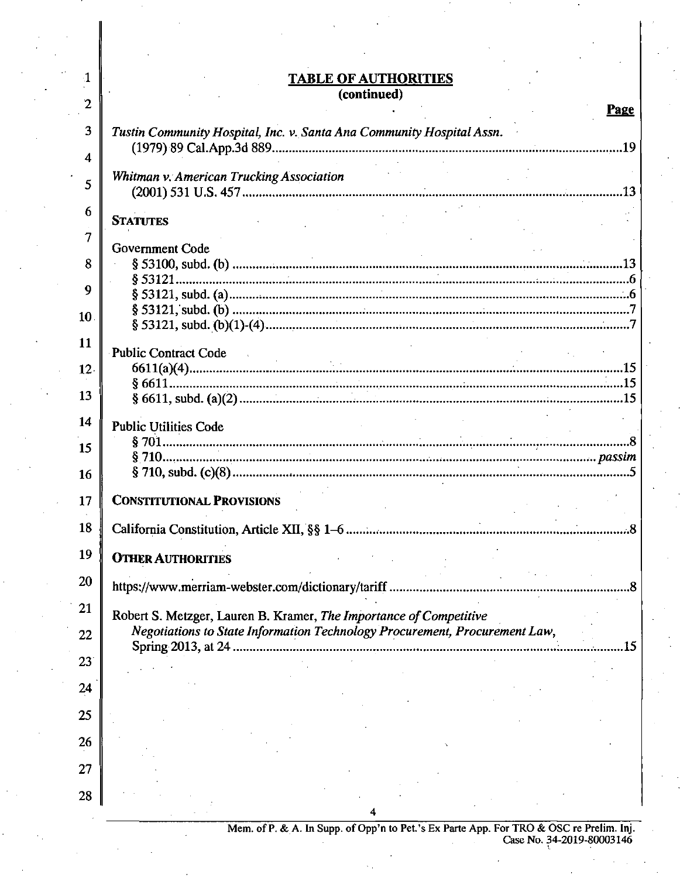## **1** TABLE OF AUTHORITIES **(continued)**

|                 | Page                                                                                                   |
|-----------------|--------------------------------------------------------------------------------------------------------|
| 3               | Tustin Community Hospital, Inc. v. Santa Ana Community Hospital Assn.                                  |
| 4               |                                                                                                        |
| 5               | Whitman v. American Trucking Association                                                               |
| 6               | <b>STATUTES</b>                                                                                        |
| 7               | Government Code                                                                                        |
| 8               |                                                                                                        |
| 9               |                                                                                                        |
| 10              |                                                                                                        |
| 11              |                                                                                                        |
| 12 <sub>1</sub> | Public Contract Code                                                                                   |
| 13              |                                                                                                        |
| 14              | <b>Public Utilities Code</b>                                                                           |
| 15              |                                                                                                        |
| 16              |                                                                                                        |
| 17              | <b>CONSTITUTIONAL PROVISIONS</b>                                                                       |
| 18              |                                                                                                        |
| 19              | <b>OTHER AUTHORITIES</b>                                                                               |
| 20              |                                                                                                        |
| 21              | Robert S. Metzger, Lauren B. Kramer, The Importance of Competitive                                     |
| 22              | Negotiations to State Information Technology Procurement, Procurement Law,<br>Spring 2013, at 24<br>15 |
| 23              |                                                                                                        |
| 24              |                                                                                                        |
| 25              |                                                                                                        |
| 26              |                                                                                                        |
| 27              |                                                                                                        |
| 28              |                                                                                                        |
|                 |                                                                                                        |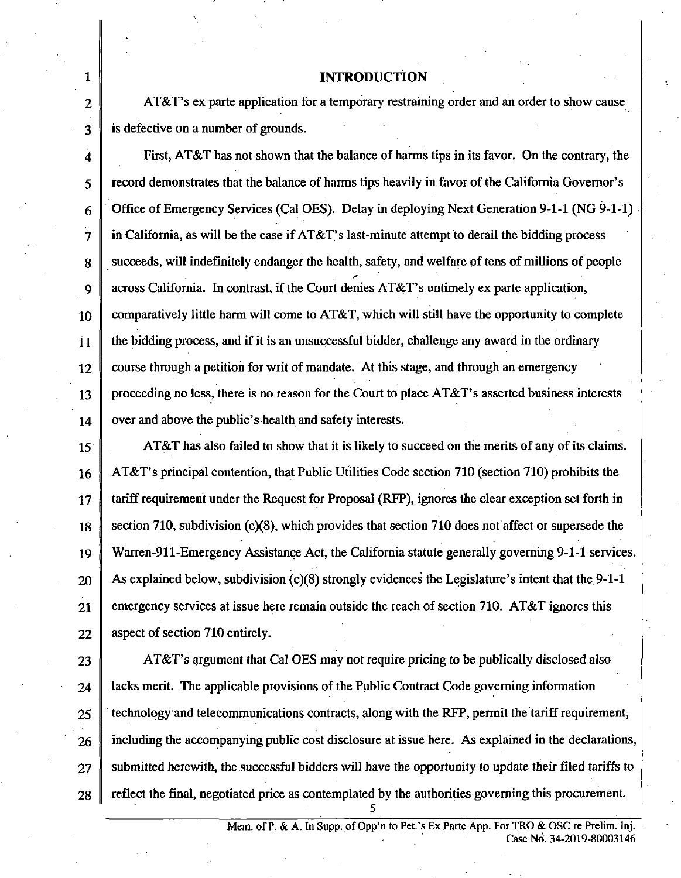## **1** INTRODUCTION

2  $\parallel$  AT&T's ex parte application for a temporary restraining order and an order to show cause 3 is defective on a number of grounds.

4 First, AT&T has not shown that the balance of harms tips in its favor. On the contrary, the 5 record demonstrates that the balance of harms tips heavily in favor of the Caiifomia Govemor's 6 Office of Emergency Services (Cal OES). Delay in deploying Next Generation 9-1-1 (NG 9-1-1)  $7 \parallel$  in California, as will be the case if AT&T's last-minute attempt to derail the bidding process 8 succeeds, will indefinitely endanger the health, safety, and welfare of tens of millions of people 9  $\parallel$  across California. In contrast, if the Court denies AT&T's untimely ex parte application, 10 comparatively little harm will come to AT&T, which will still have the opportunity to complete  $11$  the bidding process, and if it is an unsuccessful bidder, challenge any award in the ordinary  $12 \parallel$  course through a petition for writ of mandate. At this stage, and through an emergency 13 proceeding no less, there is no reason for the Court to place  $AT&T$ 's asserted business interests  $14$  over and above the public's health and safety interests.

15 **AT&T** has also failed to show that it is likely to succeed on the merits of any of its claims. 16 AT&T's principal contention, that Public Utilities Code section 710 (section 710) prohibits the 17 tariff requirement under the Request for Proposal (RFP), ignores the clear exception set forth in 18 section 710, subdivision (c)(8), which provides that section 710 does not affect or supersede the 19 Warren-911-Emergency Assistance Act, the Caiifomia statute generally goveming 9-1-1 services.  $20$  As explained below, subdivision (c)(8) strongly evidences the Legislature's intent that the 9-1-1 21 emergency services at issue here remain outside the reach of section 710. AT&T ignores this 22  $\parallel$  aspect of section 710 entirely.

 $\parallel$  AT&T's argument that Cal OES may not require pricing to be publically disclosed also | lacks merit. The applicable provisions of the Public Contract Code governing information technology and telecommunications contracts, along with the RFP, permit the tariff requirement, 26 including the accompanying public cost disclosure at issue here. As explained in the declarations, submitted herewith, the successful bidders will have the opportunity to update their filed tariffs to 28 reflect the final, negotiated price as contemplated by the authorities governing this procurement.

5

Mem. of P. & A. In Supp. of Opp'n to Pet.'s Ex Parte App. For TRO & OSC re Prelim. Inj. Case No. 34-2019-80003146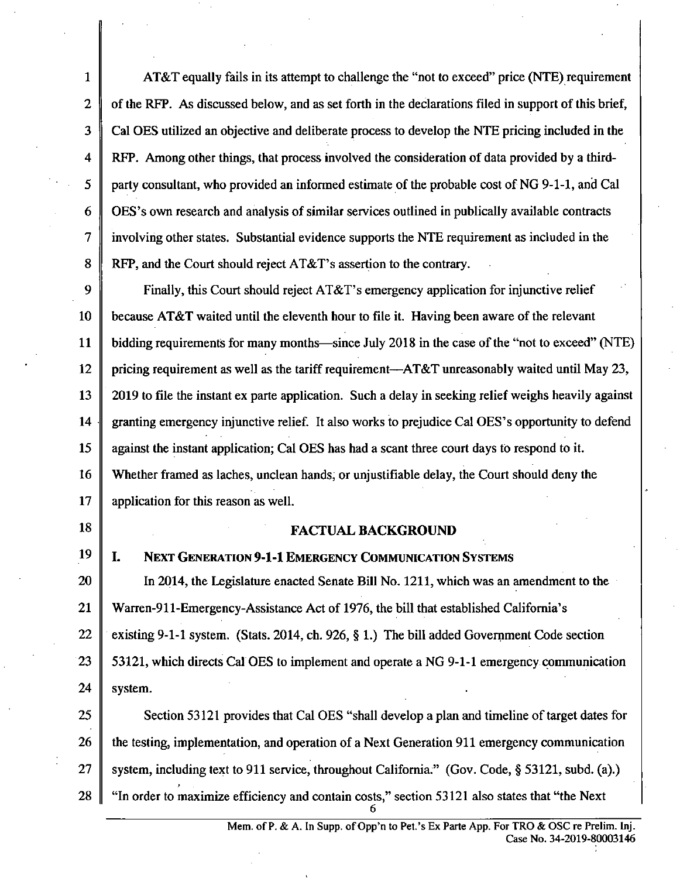1 AT&T equally fails in its attempt to challenge the "not to exceed" price (NTE) requirement 2 of the RFP. As discussed below, and as set forth in the declarations filed in support of this brief, 3 Cal OES utilized an objective and deliberate process to develop the NTE pricing included in the 4 RFP. Among other things, that process involved the consideration of data provided by a third-5 party consultant, who provided an informed estimate of the probable cost of NG 9-1-1, and Cal 6 OES's own research and analysis of similar services outlined in publically available contracts 7 involving other states. Substantial evidence supports the NTE requirement as included in the 8 RFP, and the Court should reject AT&T's assertion to the contrary.

9 Finally, this Court should reject AT&T's emergency application for injunctive relief 10 because AT&T waited until the eleventh hour to file it. Having been aware of the relevant 11 bidding requirements for many months—since July 2018 in the case of the "not to exceed" (NTE) 12 pricing requirement as well as the tariff requirement— $AT&T$  unreasonably waited until May 23, 13 2019 to file the instant ex parte application. Such a delay in seeking relief weighs heavily against 14 granting emergency injimctive relief. It also works to prejudice Cal OES's opportunity to defend 15 against the instant application; Cal OES has had a scant three court days to respond to it. 16 Whether framed as laches, unclean hands, or unjustifiable delay, the Court should deny the 17 application for this reason as well.

## **18 FACTUAL BACKGROUND**

## 19 | I. NEXT GENERATION 9-1-1 EMERGENCY COMMUNICATION SYSTEMS

20 | In 2014, the Legislature enacted Senate Bill No. 1211, which was an amendment to the 21 Warren-911-Emergency-Assistance Act of 1976, the bill that established California's 22 existing 9-1-1 system. (Stats. 2014, ch. 926, § 1.) The bill added Government Code section 23 | 53121, which directs Cal OES to implement and operate a NG 9-1-1 emergency communication 24 system.

25 Section 53121 provides that Cal OES "shall develop a plan and timeline of target dates for 26 the testing, implementation, and operation of a Next Generation 911 emergency communication 27 System, including text to 911 service, throughout California." (Gov. Code, § 53121, subd. (a).) 28 "In order to maximize efficiency and contain costs," section 53121 also states that "the Next"

 $\overline{a}$ 

Mem. of P. & A. In Supp. of Opp'n to Pet.'s Ex Parte App. For TRO & OSC re Prelim. Inj. Case No. 34-2019-80003146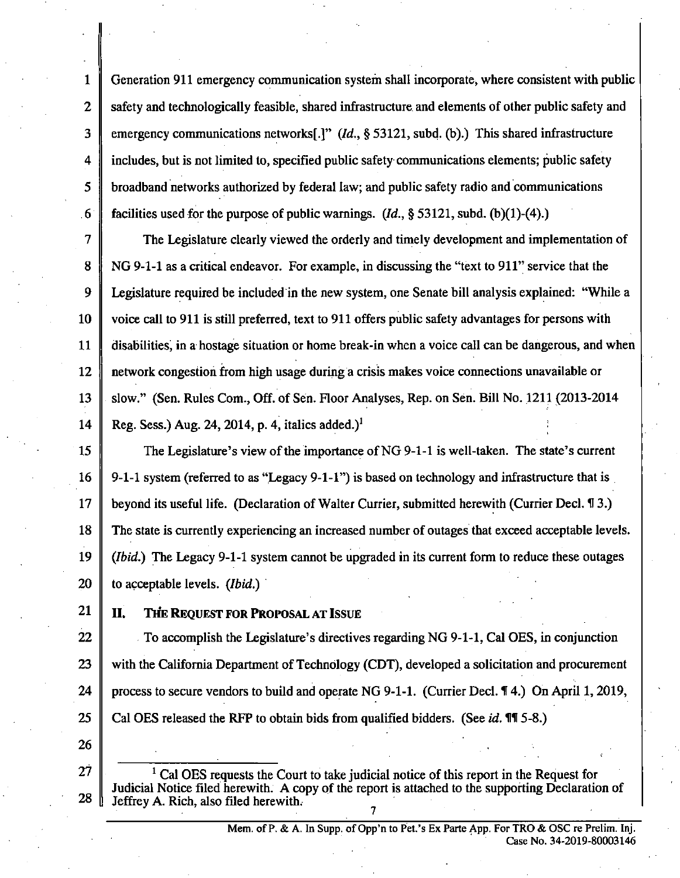1 Generation 911 emergency communication system shall incorporate, where consistent with public 2 safety and technologically feasible, shared infrastructure and elements of other public safety and 3 emergency communications networks[.]"  $(Id, § 53121, subd.$  (b).) This shared infrastructure 4 includes, but is not limited to, specified public safety communications elements; public safety 5 broadband networks authorized by federal law; and public safety radio and communications 6 facilities used for the purpose of public warnings.  $(Id, \S 53121,$  subd. (b)(1)-(4).)

7 The Legislature clearly viewed the orderly and timely development and implementation of 8 NG 9-1-1 as a critical endeavor. For example, in discussing the "text to 911" service that the 9 Legislature required be included in the new system, one Senate bill analysis explained: "While a 10 voice call to 911 is still preferred, text to 911 offers public safety advantages for persons with 11 disabilities, in a hostage situation or home break-in when a voice call can be dangerous, and when 12 network congestion from high usage during a crisis makes voice connections unavailable or 13 slow." (Sen. Rules Com., Off. of Sen. Floor Analyses, Rep. on Sen. Bill No. 1211 (2013-2014 14 Reg. Sess.) Aug. 24, 2014, p. 4, italics added.)<sup>1</sup>

15 The Legislature's view of the importance of NG 9-1-1 is well-taken. The state's current 16  $\parallel$  9-1-1 system (referred to as "Legacy 9-1-1") is based on technology and infrastructure that is 17 beyond its useful life. (Declaration of Walter Currier, submitted herewith (Currier Decl. H 3.) 18 The state is currently experiencing an increased number of outages that exceed acceptable levels. 19  $\parallel$  (*Ibid.*) The Legacy 9-1-1 system cannot be upgraded in its current form to reduce these outages 20 **to acceptable levels.** *(Ibid.)* 

# 21 | II. THE REQUEST FOR PROPOSAL AT ISSUE

22  $\parallel$  To accomplish the Legislature's directives regarding NG 9-1-1, Cal OES, in conjunction 23 with the California Department of Technology (CDT), developed a solicitation and procurement 24 process to secure vendors to build and operate NG 9-1-1. (Currier Decl.  $\P$  4.) On April 1, 2019, 25 Cal OES released the RFP to obtain bids from qualified bidders. (See id.  $\mathbb{II}$  5-8.)

26

 $27 \parallel$  <sup>1</sup> Cal OES requests the Court to take judicial notice of this report in the Request for Judicial Notice filed herewith. A copy of the report is attached to the supporting Declaration of 28 Jeffrey A. Rich, also filed herewith.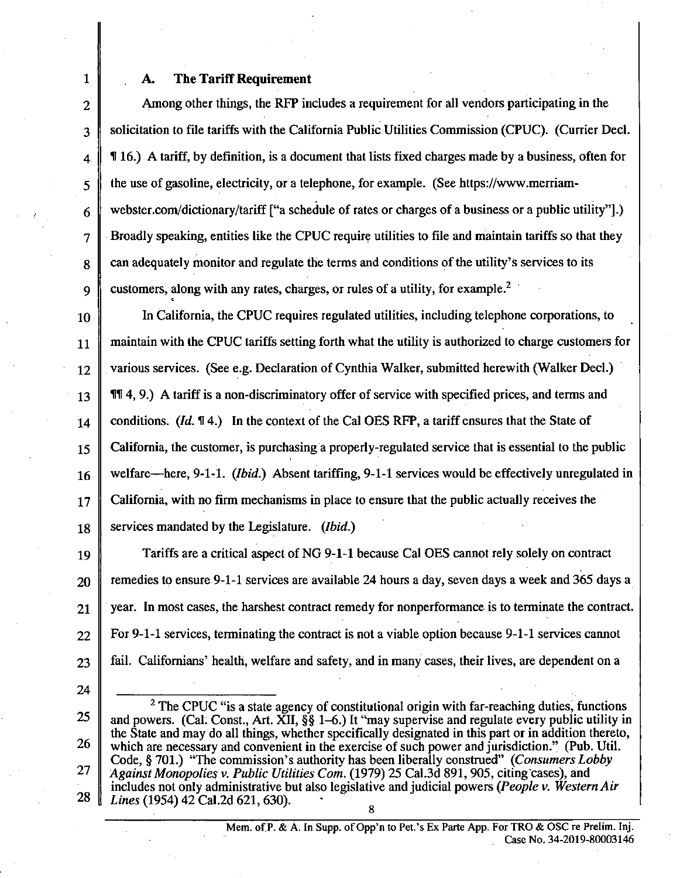#### **1 A. The Tariff Requirement**

2 Among other things, the RFP includes a requirement for all vendors participating in the 3 solicitation to file tariffs with the Caiifomia Public Utilities Commission (CPUC). (Currier Decl.  $4 \parallel \text{T} 16$ .) A tariff, by definition, is a document that lists fixed charges made by a business, often for  $5 \parallel$  the use of gasoline, electricity, or a telephone, for example. (See https://www.merriam-6 webster.com/dictionary/tariff ["a schedule of rates or charges of a business or a public utility"].) 7 Broadly speaking, entities like the CPUC require utilities to file and maintain tariffs so that they  $8 \parallel$  can adequately monitor and regulate the terms and conditions of the utility's services to its 9 customers, along with any rates, charges, or rules of a utility, for example.<sup>2</sup>

10 In California, the CPUC requires regulated utilities, including telephone corporations, to  $11$  maintain with the CPUC tariffs setting forth what the utility is authorized to charge customers for 12 various services. (See e.g. Declaration of Cynthia Walker, submitted herewith (Walker Decl.) 13 | **114**, 9.) A tariff is a non-discriminatory offer of service with specified prices, and terms and 14 conditions. (Id.  $\mathbb{I}$  4.) In the context of the Cal OES RFP, a tariff ensures that the State of 15 Caiifomia, the customer, is purchasing a properly-regulated service that is essential to the public  $16 \parallel$  welfare—here, 9-1-1. (*Ibid.*) Absent tariffing, 9-1-1 services would be effectively unregulated in  $17 \parallel$  California, with no firm mechanisms in place to ensure that the public actually receives the 18 services mandated by the Legislature. (*Ibid.*)

19 Tariffs are a critical aspect of NG 9-1-1 because Cal OES cannot rely solely on contract 20 remedies to ensure 9-1-1 services are available 24 hours a day, seven days a week and 365 days a  $21$   $\parallel$  year. In most cases, the harshest contract remedy for nonperformance is to terminate the contract.  $22 \parallel$  For 9-1-1 services, terminating the contract is not a viable option because 9-1-1 services cannot  $23$   $\parallel$  fail. Californians' health, welfare and safety, and in many cases, their lives, are dependent on a

*<sup>24 &#</sup>x27;.*   $2^{\circ}$  The CPUC "is a state agency of constitutional origin with far-reaching duties, functions  $25$  and powers. (Cal. Const., Art. XII,  $\S$ § 1–6.) It "may supervise and regulate every public utility in the State and may do all things, whether specifically designated in this part or in addition thereto, *26 which are necessary and convenient in the exercise of such power and jurisdiction." (Pub. Util. Code, § 701.) "The commission's authority has been liberally constmed" (Consumers Lobby 27 Against Monopolies v. Public Utilities Com. (1979) 25 Cal.3d 891,905, citing cases), and includes not only administrative but also legislative and judicial powers (People v. Western Air*  28 *Lines* (1954) 42 Cal. 2d 621, 630). <u>ರಿ</u><br>—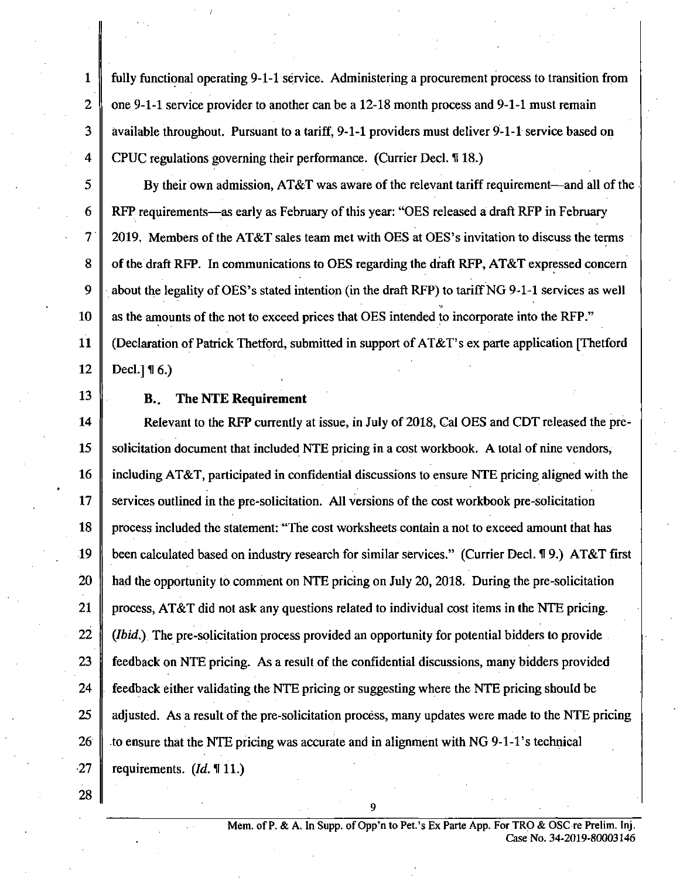1 fully functional operating 9-1-1 service. Administering a procurement process to transition from 2  $\parallel$  one 9-1-1 service provider to another can be a 12-18 month process and 9-1-1 must remain  $3 \parallel$  available throughout. Pursuant to a tariff, 9-1-1 providers must deliver 9-1-1 service based on 4 CPUC regulations governing their performance. (Currier Decl. 1918.)

 $5 \parallel$  By their own admission, AT&T was aware of the relevant tariff requirement—and all of the 6 RFP requirements—as early as February of this year: "OES released a draft RFP in February 7 | 2019. Members of the AT&T sales team met with OES at OES's invitation to discuss the terms 8 of the draft RFP. In communications to OES regarding the draft RFP, AT&T expressed concern 9  $\parallel$  about the legality of OES's stated intention (in the draft RFP) to tariff NG 9-1-1 services as well 10 as the amounts of the not to exceed prices that OES intended to incorporate into the RFP." 11 (Declaration of Patrick Thetford, submitted in support of AT&T's ex parte application [Thetford

 $12 \parallel$  Decl.] 16.)

## **13 B.. The NTE Requirement**

14 Relevant to the RFP currently at issue, in July of 2018, Cal OES and CDT released the pre-15 Solicitation document that included NTE pricing in a cost workbook. A total of nine vendors, 16 including AT&T, participated in confidential discussions to ensure NTE pricing aligned with the 17  $\parallel$  services outlined in the pre-solicitation. All versions of the cost workbook pre-solicitation 18 process included the statement: "The cost worksheets contain a not to exceed amount that has 19 been calculated based on industry research for similar services." (Currier Decl. 19.) AT&T first 20 **had the opportunity to comment on NTE pricing on July 20, 2018. During the pre-solicitation** 21  $\parallel$  process, AT&T did not ask any questions related to individual cost items in the NTE pricing. 22  $\parallel$  (*Ibid*,) The pre-solicitation process provided an opportunity for potential bidders to provide 23  $\parallel$  feedback on NTE pricing. As a result of the confidential discussions, many bidders provided 24  $\parallel$  feedback either validating the NTE pricing or suggesting where the NTE pricing should be 25  $\parallel$  adjusted. As a result of the pre-solicitation process, many updates were made to the NTE pricing 26  $\parallel$  to ensure that the NTE pricing was accurate and in alignment with NG 9-1-1's technical  $\cdot 27$  | requirements. (*Id.* ¶ 11.)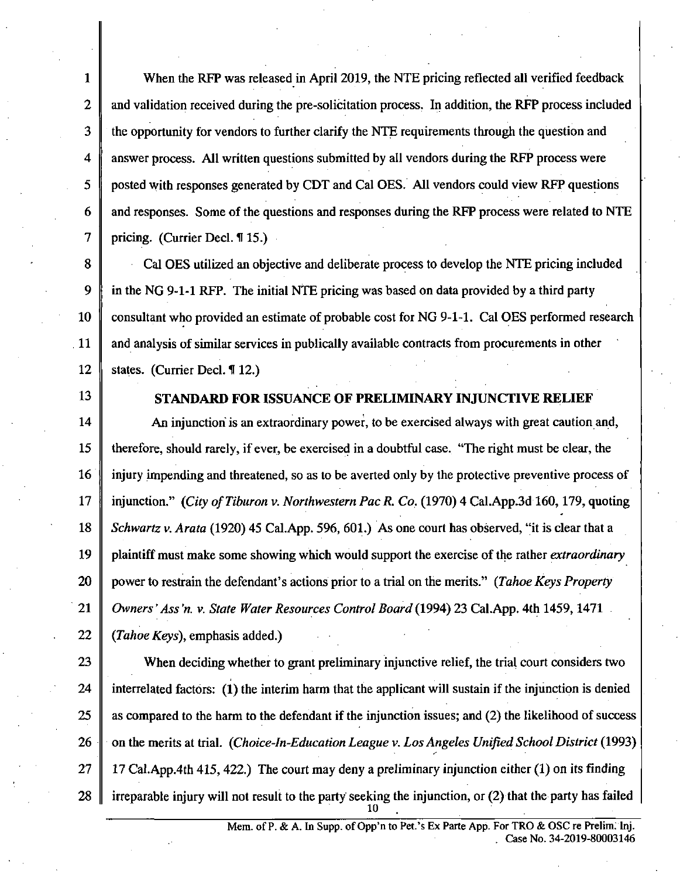1 When the RFP was released in April 2019, the NTE pricing reflected all verified feedback 2 and validation received during the pre-solicitation process. In addition, the RFP process included  $3 \parallel$  the opportunity for vendors to further clarify the NTE requirements through the question and  $4 \parallel$  answer process. All written questions submitted by all vendors during the RFP process were 5 posted with responses generated by CDT and Cal OES. All vendors could view RFP questions 6 and responses. Some of the questions and responses during the RFP process were related to NTE 7 | pricing. (Currier Decl.  $\P$  15.)

8 Cal OES utilized an objective and deliberate process to develop the NTE pricing included 9 in the NG 9-1-1 RFP. The initial NTE pricing was based on data provided by a third party 10 consultant who provided an estimate of probable cost for NG 9-1-1. Cal OES performed research 11 and analysis of similar services in publically available contracts from procurements in other 12 States. (Currier Decl.  $\P$  12.)

## 13 STANDARD FOR ISSUANCE OF PRELIMINARY INJUNCTIVE RELIEF

14 An injunction is an extraordinary power, to be exercised always with great caution and, 15 therefore, should rarely, if ever, be exercised in a doubtftil case, "The right must be clear, the 16 injury impending and threatened, so as to be averted only by the protective preventive process of 17 injunction." (City of Tiburon v. Northwestern Pac R. Co. (1970) 4 Cal.App.3d 160, 179, quoting 18 Schwartz v. Arata (1920) 45 Cal.App. 596, 601.) As one court has observed, "it is clear that a *19 plaintiff must make some showing which would support the exercise of the rather extraordinary 20 power to restrain the defendant's actions prior to a trial on the merits." (Tahoe Keys Property*  21 | Owners' Ass'n. v. State Water Resources Control Board (1994) 23 Cal.App. 4th 1459, 1471

22  $\parallel$  (Tahoe Keys), emphasis added.)

23 When deciding whether to grant preliminary injunctive relief, the trial court considers two 24 interrelated factors: (1) the interim harm that the applicant will sustain if the injunction is denied 25  $\parallel$  as compared to the harm to the defendant if the injunction issues; and (2) the likelihood of success 26 on the merits at trial. (Choice-In-Education League v. Los Angeles Unified School District (1993) 27 | 17 Cal.App.4th 415, 422.) The court may deny a preliminary injunction either (1) on its finding 28  $\parallel$  irreparable injury will not result to the party seeking the injunction, or (2) that the party has failed

10 .

Mem. of P. & A. In Supp. of Opp'n to Pet.'s Ex Parte App. For TRO & OSC re Prelim: Inj. . Case No. 34-2019-80003146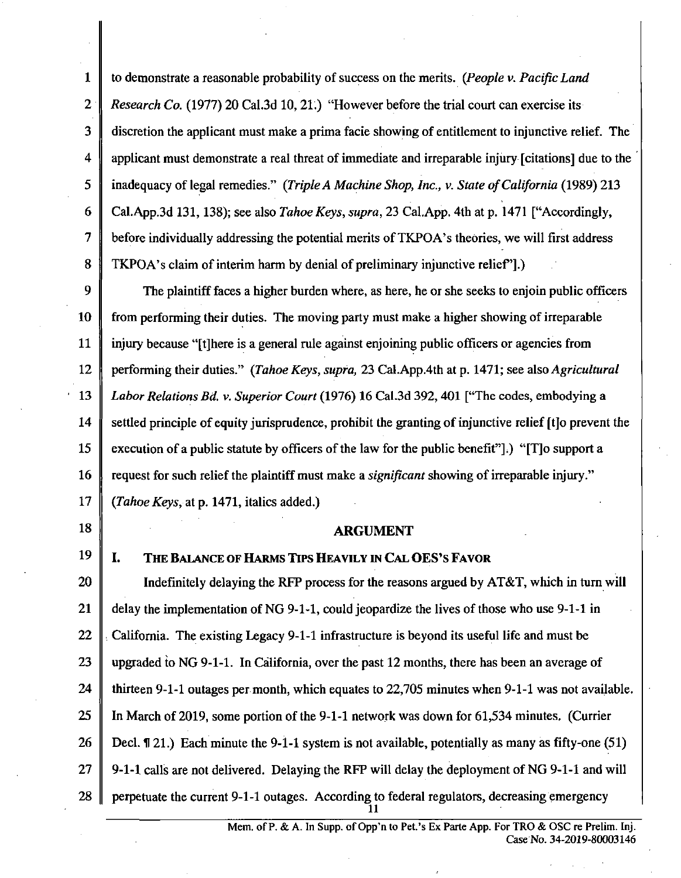1 2 3 4 5 6 7 8 to demonstrate a reasonable probability of success on the merits. (People v. Pacific Land Research Co. (1977) 20 Cal.3d 10, 21.) "However before the trial court can exercise its discretion the applicant must make a prima facie showing of entitlement to injunctive relief. The applicant must demonstrate a real threat of immediate and irreparable injury [citations] due to the inadequacy of legal remedies." (Triple A Machine Shop, Inc., v. State of California (1989) 213 Cal.App.3d 131, 138); see also Tahoe Keys, supra, 23 Cal.App. 4th at p. 1471 ["Accordingly, before individually addressing the potential merits of TKPOA's theories, we will first address TKPOA's claim of interim harm by denial of preliminary injunctive relief'].)

9 10 11 12 13 14 15 16 17 The plaintiff faces a higher burden where, as here, he or she seeks to enjoin public officers from performing their duties. The moving party must make a higher showing of irreparable injury because "[t] here is a general rule against enjoining public officers or agencies from performing their duties." (Tahoe Keys, supra, 23 Cal.App.4th at p. 1471; see also Agricultural Labor Relations Bd. v. Superior Court (1976) 16 Cal.3d 392, 401 ["The codes, embodying a settled principle of equity jurisprudence, prohibit the granting of injunctive relief [t]o prevent the execution of a public statute by officers of the law for the public benefit"].) "[T]o support a request for such relief the plaintiff must make a significant showing of irreparable injury." (Tahoe Keys, at p. 1471, italics added.)

#### **ARGUMENT**

#### **I.** THE BALANCE OF HARMS TIPS HEAVILY IN CAL OES'S FAVOR

18

19

20 21 22 23 24 25 26 27 28 Indefinitely delaying the RFP process for the reasons argued by AT&T, which in tum will delay the implementation of NG 9-1-1, could jeopardize the lives of those who use 9-1-1 in . Caiifomia. The existing Legacy 9-1-1 infrastmcture is beyond its useful life and must be upgraded to NG 9-1-1. In Caiifomia, over the past 12 months, there has been an average of thirteen 9-1-1 outages per month, which equates to 22,705 minutes when 9-1-1 was not available. In March of 2019, some portion of the 9-1-1 network was down for 61,534 minutes. (Currier Decl. f 21.) Each minute the 9-1-1 system is not available, potentially as many as fifty-one (51) 9-1-1 calls are not delivered. Delaying the RFP will delay the deployment of NG 9-1-1 and will perpetuate the current 9-1-1 outages. According to federal regulators, decreasing emergency

 $\overline{\mathbf{u}}$ 

Mem. of P. & A. In Supp. of Opp'n to Pet.'s Ex Parte App. For TRO & OSC re Prelim. Inj. Case No. 34-2019-80003146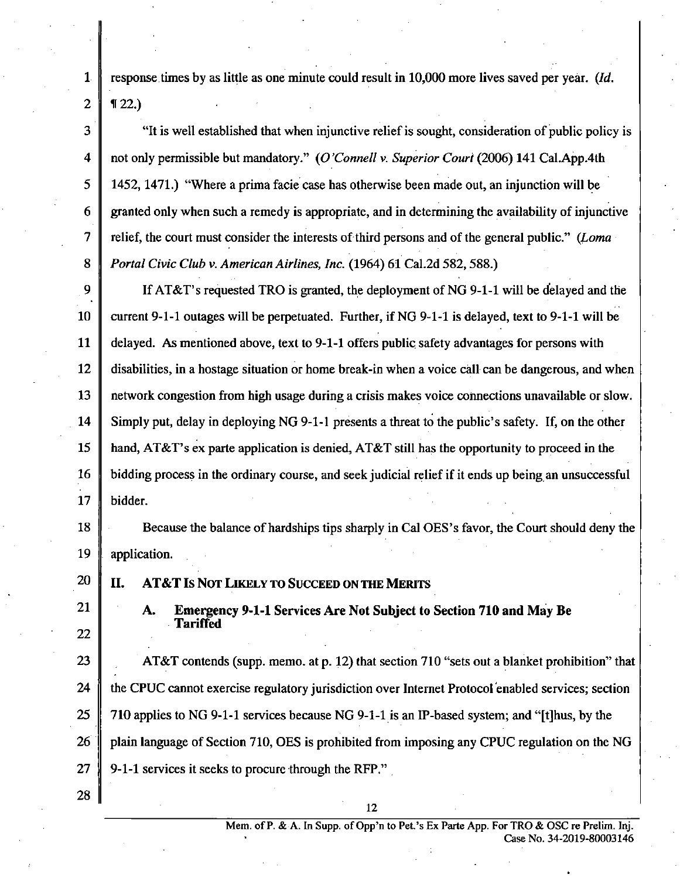*1 response times by as little as one minute could result in 10,000 more lives saved per year. (Id.*   $2 \parallel 122.$ 

 $3 \parallel$  "It is well established that when injunctive relief is sought, consideration of public policy is 4 not only permissible but mandatory." (O'Connell y. Superior Court (2006) 141 Cal.App.4th 5 1452, 1471.) "Where a prima facie case has otherwise been made out, an injunction will be 6 granted only when such a remedy is appropriate, and in determining the availability of injunctive *7 relief, the court must consider the interests of third persons and of the general public." (Loma*  8 *Portal Civic Club v. American Airlines, Inc.* (1964) 61 Cal.2d 582, 588.)

9 SIM STRAT's requested TRO is granted, the deployment of NG 9-1-1 will be delayed and the 10 current 9-1-1 outages will be perpetuated. Further, if NG 9-1-1 is delayed, text to 9-1-1 will be 11 delayed. As mentioned above, text to 9-1-1 offers public safety advantages for persons with 12 disabilities, in a hostage situation or home break-in when a voice call can be dangerous, and when 13 network congestion from high usage during a crisis makes voice connections unavailable or slow. 14 Simply put, delay in deploying NG 9-1-1 presents a threat to the public's safety. If, on the other 15  $\parallel$  hand, AT&T's ex parte application is denied, AT&T still has the opportunity to proceed in the 16 bidding process in the ordinary course, and seek judicial relief if it ends up being an unsuccessful 17 bidder.

18 Because the balance of hardships tips sharply in Cal OES's favor, the Court should deny the 19 application.

**20 II. AT&T Is NOT LIKEL Y TO SUCCEED ON THE MERITS** 

22

**21 A. Emergency 9-1-1 Services Are Not Subject to Section 710 and May Be Tariffed** 

22 .  $\parallel$  the CPUC cannot exercise regulatory jurisdiction over Internet Protocol enabled services; section  $\parallel$  710 applies to NG 9-1-1 services because NG 9-1-1 is an IP-based system; and "[t] hus, by the  $\parallel$  plain language of Section 710, OES is prohibited from imposing any CPUC regulation on the NG 26 plain language of Section 710, OES is prohibited from imposing any CPUC regulation on the NG 9-1-1 services it seeks to process to process to process to process to process the RFP.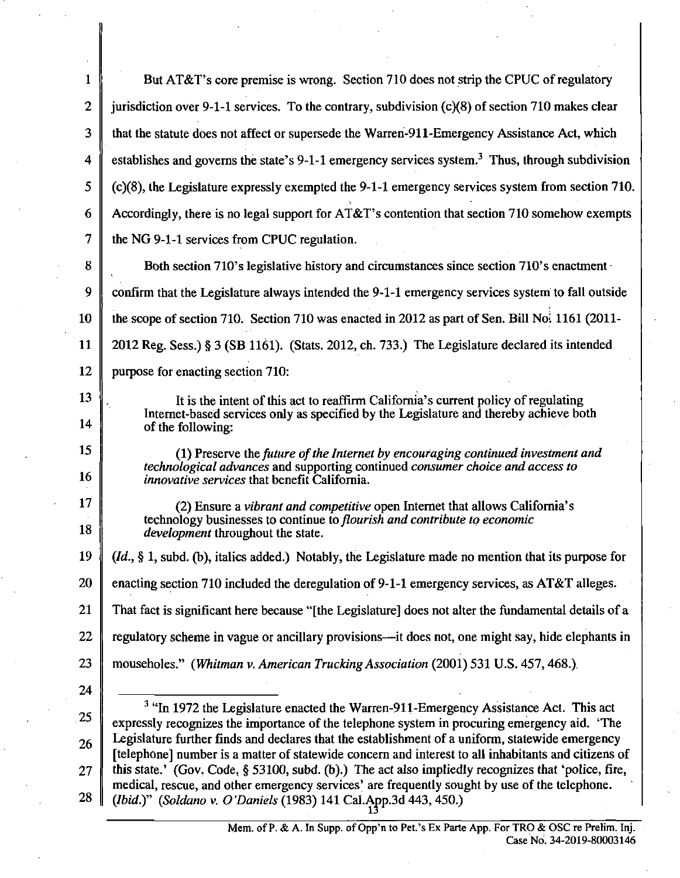| $\mathbf{1}$ | But AT&T's core premise is wrong. Section 710 does not strip the CPUC of regulatory                                                                                                                    |
|--------------|--------------------------------------------------------------------------------------------------------------------------------------------------------------------------------------------------------|
| $\mathbf{2}$ | jurisdiction over 9-1-1 services. To the contrary, subdivision $(c)(8)$ of section 710 makes clear                                                                                                     |
| 3            | that the statute does not affect or supersede the Warren-911-Emergency Assistance Act, which                                                                                                           |
| 4            | establishes and governs the state's 9-1-1 emergency services system. <sup>3</sup> Thus, through subdivision                                                                                            |
| 5            | (c)(8), the Legislature expressly exempted the 9-1-1 emergency services system from section 710.                                                                                                       |
| 6            | Accordingly, there is no legal support for $AT&T$ 's contention that section 710 somehow exempts                                                                                                       |
| 7            | the NG 9-1-1 services from CPUC regulation.                                                                                                                                                            |
| 8            | Both section 710's legislative history and circumstances since section 710's enactment -                                                                                                               |
| 9            | confirm that the Legislature always intended the 9-1-1 emergency services system to fall outside                                                                                                       |
| 10           | the scope of section 710. Section 710 was enacted in 2012 as part of Sen. Bill No. 1161 (2011-                                                                                                         |
| 11           | 2012 Reg. Sess.) § 3 (SB 1161). (Stats. 2012, ch. 733.) The Legislature declared its intended.                                                                                                         |
| 12           | purpose for enacting section 710:                                                                                                                                                                      |
| 13           | It is the intent of this act to reaffirm California's current policy of regulating                                                                                                                     |
| 14           | Internet-based services only as specified by the Legislature and thereby achieve both<br>of the following:                                                                                             |
| 15           | (1) Preserve the future of the Internet by encouraging continued investment and                                                                                                                        |
| 16           | technological advances and supporting continued consumer choice and access to<br><i>innovative services</i> that benefit California.                                                                   |
| 17           | (2) Ensure a vibrant and competitive open Internet that allows California's<br>technology businesses to continue to flourish and contribute to economic                                                |
| 18           | <i>development</i> throughout the state.                                                                                                                                                               |
| 19           | $(id., § 1, subd. (b), italics added.) Notably, the Legislature made no mention that its purpose for (id., § 1, subd.)$                                                                                |
| 20           | enacting section 710 included the deregulation of 9-1-1 emergency services, as AT&T alleges.                                                                                                           |
| 21           | That fact is significant here because "[the Legislature] does not alter the fundamental details of a                                                                                                   |
| 22           | regulatory scheme in vague or ancillary provisions—it does not, one might say, hide elephants in                                                                                                       |
| 23           | mouseholes." (Whitman v. American Trucking Association (2001) 531 U.S. 457, 468.)                                                                                                                      |
| 24           |                                                                                                                                                                                                        |
| 25           | <sup>3</sup> "In 1972 the Legislature enacted the Warren-911-Emergency Assistance Act. This act<br>expressly recognizes the importance of the telephone system in procuring emergency aid. 'The        |
| 26           | Legislature further finds and declares that the establishment of a uniform, statewide emergency<br>[telephone] number is a matter of statewide concern and interest to all inhabitants and citizens of |
| 27           | this state.' (Gov. Code, § 53100, subd. (b).) The act also impliedly recognizes that 'police, fire,                                                                                                    |
| 28           | medical, rescue, and other emergency services' are frequently sought by use of the telephone.<br>(Ibid.)" (Soldano v. O'Daniels (1983) 141 Cal.App.3d 443, 450.)                                       |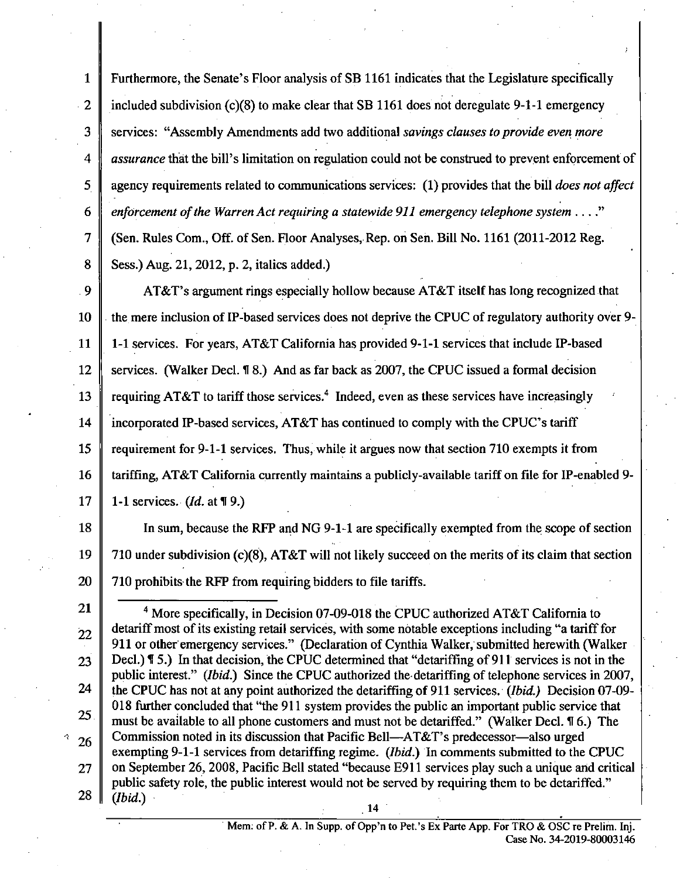1 Furthermore, the Senate's Floor analysis of SB 1161 indicates that the Legislature specifically 2 included subdivision (c)(8) to make clear that SB 1161 does not deregulate 9-1-1 emergency *3 services: "Assembly Amendments add two additional savings clauses to provide even more*  4 assurance that the bill's limitation on regulation could not be construed to prevent enforcement of *5 agency requirements related to communications services: (1) provides that the bill does not affect*  6 enforcement of the Warren Act requiring a statewide 911 emergency telephone system  $\dots$ " 7 (Sen. Rules Com., Off. of Sen. Roor Analyses, Rep. on Sen. Bill No. 1161 (2011-2012 Reg. 8 Sess.) Aug. 21, 2012, p. 2, italics added.)

9 AT&T's argument rings especially hollow because AT&T itself has long recognized that 10 the mere inclusion of IP-based services does not deprive the CPUC of regulatory authority over 9- 11 1-1 services. For years, AT&T Caiifomia has provided 9-1-1 services that include IP-based 12 Services. (Walker Decl. 18.) And as far back as 2007, the CPUC issued a formal decision 13  $\parallel$  requiring AT&T to tariff those services.<sup>4</sup> Indeed, even as these services have increasingly 14 incorporated IP-based services, AT&T has continued to comply with the CPUC's tariff 15  $\parallel$  requirement for 9-1-1 services. Thus, while it argues now that section 710 exempts it from 16 tariffing, AT&T California currently maintains a publicly-available tariff on file for IP-enabled 9-17 | 1-1 services. (*Id.* at  $\P$  9.)

18 In sum, because the RFP and NG 9-1-1 are specifically exempted from the scope of section 19  $\parallel$  710 under subdivision (c)(8), AT&T will not likely succeed on the merits of its claim that section 20  $\parallel$  710 prohibits the RFP from requiring bidders to file tariffs.

Mem: of P. & A. In Supp. of Opp'n to Pet.'s Ex Parte App. For TRO & OSC re Prelim. Inj. Case No. 34-2019-80003146

<sup>25</sup>  21  $\parallel$   $\parallel$   $\parallel$   $\parallel$   $\parallel$   $\parallel$   $\parallel$  More specifically, in Decision 07-09-018 the CPUC authorized AT&T California to  $22$  detariff most of its existing retail services, with some notable exceptions including "a tariff for 911 or other emergency services." (Declaration of Cynthia Walker, submitted herewith (Walker 23 Decl.) **15.**) In that decision, the CPUC determined that "detariffing of 911 services is not in the public interest." (Ibid.) Since the CPUC authorized the detariffing of telephone services in 2007, 24 the CPUC has not at any point authorized the detariffing of 911 services. (*Ibid.*) Decision 07-09-018 further concluded that "the 911 system provides the public an important public service that must be available to all phone customers and must not be detariffed." (Walker Decl. H 6.) The  $_{26}$  Commission noted in its discussion that Pacific Bell—AT&T's predecessor—also urged exempting 9-1-1 services from detariffing regime. (Ibid.) In comments submitted to the CPUC 27 on September 26, 2008, Pacific Bell stated "because E911 services play such a unique and critical public safety role, the public interest would not be served by requiring them to be detariffed."  $28 \parallel$ *(Ibid.)* 14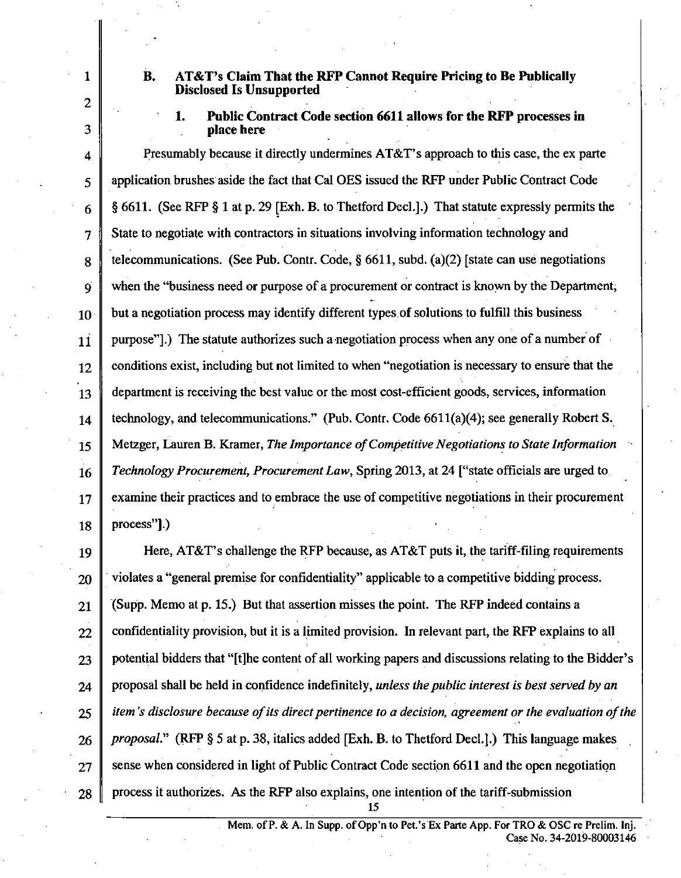**2 .** 

### **1 B. AT&T's Claim That the RFP Cannot Require Pricing to Be Publically Disclosed Is Unsupported**

## **1. Public Contract Code section 6611 allows for the RFP processes in 3 place here**

4 Presumably because it directly undermines AT&T's approach to this case, the ex parte 5 application brushes aside the fact that Cal OES issued the RFP under Public Contract Code  $6 \parallel \S 6611$ . (See RFP § 1 at p. 29 [Exh. B. to Thetford Decl.].) That statute expressly permits the 7 State to negotiate with contractors in situations involving information technology and  $8 \parallel$  telecommunications. (See Pub. Contr. Code, § 6611, subd. (a)(2) [state can use negotiations 9 when the "business need or purpose of a procurement or contract is known by the Department,  $10$  but a negotiation process may identify different types of solutions to fulfill this business  $11$  purpose"].) The statute authorizes such a negotiation process when any one of a number of  $12 \parallel$  conditions exist, including but not limited to when "negotiation is necessary to ensure that the 13 department is receiving the best value or the most cost-efficient goods, services, information 14 technology, and telecommunications." (Pub. Contr. Code 6611(a)(4); see generally Robert S. *15 Metzger, Lauren B. Kramer, The Importance of Competitive Negotiations to State Information*  16 Technology Procurement, Procurement Law, Spring 2013, at 24 ["state officials are urged to 17 examine their practices and to embrace the use of competitive negotiations in their procurement  $18 \parallel$  process"].)

19 Here, AT&T's challenge the RFP because, as AT&T puts it, the tariff-filing requirements  $20$   $\parallel$  violates a "general premise for confidentiality" applicable to a competitive bidding process.  $21$  (Supp. Memo at p. 15.) But that assertion misses the point. The RFP indeed contains a  $22$  confidentiality provision, but it is a limited provision. In relevant part, the RFP explains to all  $23$  potential bidders that "[t]he content of all working papers and discussions relating to the Bidder's *24 proposal shall be held in confidence indefinitely, unless the public interest is best served by an 25 item's disclosure because of its direct pertinence to a decision, agreement or the evaluation of the*   $26 \parallel$  *proposal.*" (RFP § 5 at p. 38, italics added [Exh. B. to Thetford Decl.].) This language makes  $27 \parallel$  sense when considered in light of Public Contract Code section 6611 and the open negotiation  $28 \parallel$  process it authorizes. As the RFP also explains, one intention of the tariff-submission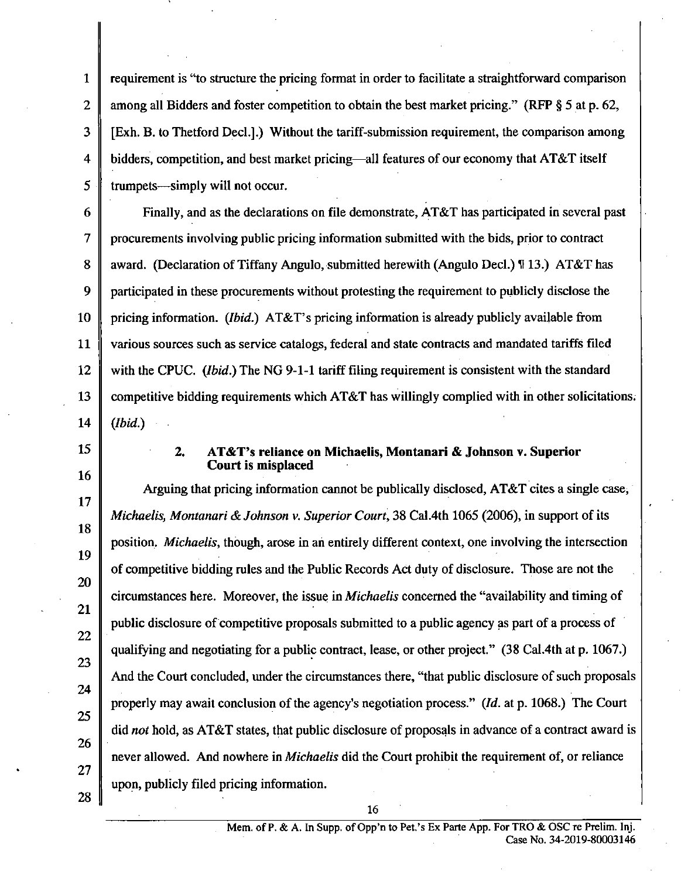1 2 3 4 5 requirement is "to structure the pricing format in order to facilitate a straightforward comparison among all Bidders and foster competition to obtain the best market pricing." (RFP § 5 at p. 62, [Exh. B. to Thetford Decl.].) Without the tariff-submission requirement, the comparison among bidders, competition, and best market pricing—all features of our economy that AT&T itself tmmpets—simply will not occur.

6 7 8 9 10 11 12 13 14 *Finally, and as the declarations on file demonstrate, AT&T has participated in several past procurements involving public pricing information submitted with the bids, prior to contract award. (Declaration of Tiffany Angulo, submitted herewith (Angulo Decl.) H 13.) AT&T has participated in these procurements without protesting the requirement to publicly disclose the pricing information. (Ibid.) AT&T's pricing information is already publicly available from various sources such as service catalogs, federal and state contracts and mandated tariffs filed with the CPUC. (Ibid.) The NG 9-1-1 tariff filing requirement is consistent with the standard competitive bidding requirements which AT&T has willingly complied with in other solicitations. (Ibid.)* 

15

16

17

18

19

20

21

22

23

24

25

26

27

28

#### **2. AT&T's reliance on Michaelis, Montanari & Johnson v. Superior Court is misplaced**

Arguing that pricing information cannot be publically disclosed,  $AT&T$  cites a single case, Michaelis, Montanari & Johnson v. Superior Court, 38 Cal.4th 1065 (2006), in support of its position. *Michaelis*, though, arose in an entirely different context, one involving the intersection of competitive bidding mles and the Public Records Act duty of disclosure. Those are not the circumstances here. Moreover, the issue in Michaelis concemed the "availability and timing of public disclosure of competitive proposals submitted to a public agency as part of a process of qualifying and negotiating for a public contract, lease, or other project." (38 Cal.4th at p. 1067.) And the Court concluded, under the circumstances there, "that public disclosure of such proposals properly may await conclusion of the agency's negotiation process." (Id. at p. 1068.) The Court did not hold, as AT&T states, that public disclosure of proposals in advance of a contract award is never allowed. And nowhere in *Michaelis* did the Court prohibit the requirement of, or reliance upon, publicly filed pricing information.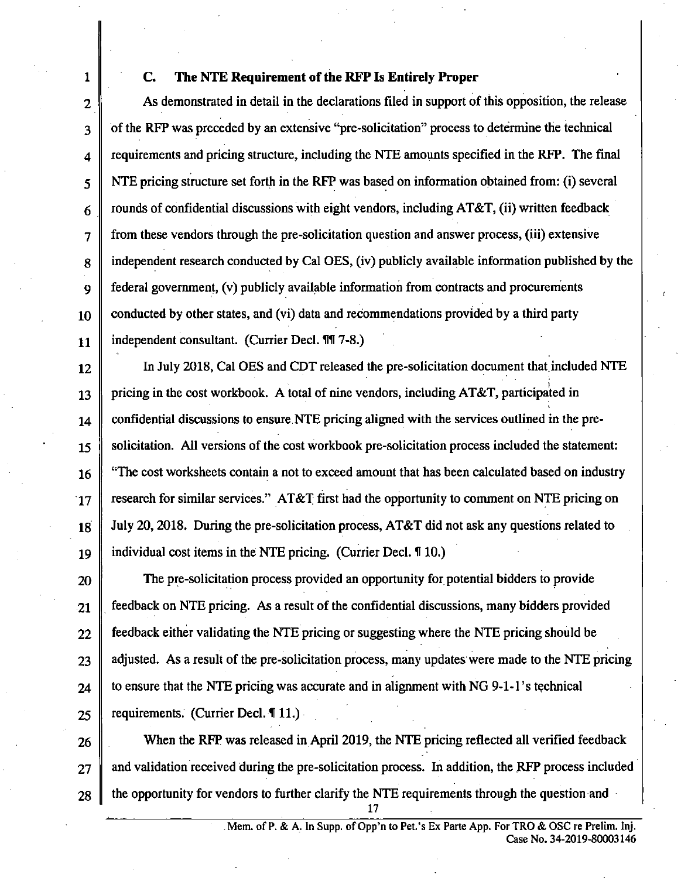## **1 C. The NTE Requirement of the RFP Is Entirely Proper**

 $2 \parallel$  As demonstrated in detail in the declarations filed in support of this opposition, the release 3 of the RFP was preceded by an extensive "pre-solicitation" process to determine the technical  $4 \parallel$  requirements and pricing structure, including the NTE amounts specified in the RFP. The final  $5 \parallel$  NTE pricing structure set forth in the RFP was based on information obtained from: (i) several 6 Trounds of confidential discussions with eight vendors, including AT&T, (ii) written feedback 7 from these vendors through the pre-solicitation question and answer process, (iii) extensive 8 independent research conducted by Cal OES, (iv) publicly available information published by the 9 federal govemment, (v) publicly available information from contracts and procurements  $10$  conducted by other states, and (vi) data and recommendations provided by a third party 11 | independent consultant. (Currier Decl. 11 7-8.)

12 | In July 2018, Cal OES and CDT released the pre-solicitation document that included NTE 13 pricing in the cost workbook. A total of nine vendors, including AT&T, participated in 14 confidential discussions to ensure NTE pricing aligned with the services outlined in the pre-15 Solicitation. All versions of the cost workbook pre-solicitation process included the statement: 16 "The cost worksheets contain a not to exceed amount that has been calculated based on industry  $17$  research for similar services." AT&T first had the opportunity to comment on NTE pricing on 18 July 20, 2018. During the pre-solicitation process, AT&T did not ask any questions related to 19 individual cost items in the NTE pricing. (Currier Decl. H10.)

20 The pre-solicitation process provided an opportunity for potential bidders to provide  $21$  feedback on NTE pricing. As a result of the confidential discussions, many bidders provided  $22 \parallel$  feedback either validating the NTE pricing or suggesting where the NTE pricing should be  $23$  | adjusted. As a result of the pre-solicitation process, many updates were made to the NTE pricing  $24$  | to ensure that the NTE pricing was accurate and in alignment with NG 9-1-1's technical 25 Tequirements. (Currier Decl.  $\P$  11.)

 $26$  When the RFP was released in April 2019, the NTE pricing reflected all verified feedback  $27$   $\parallel$  and validation received during the pre-solicitation process. In addition, the RFP process included  $28$   $\parallel$  the opportunity for vendors to further clarify the NTE requirements through the question and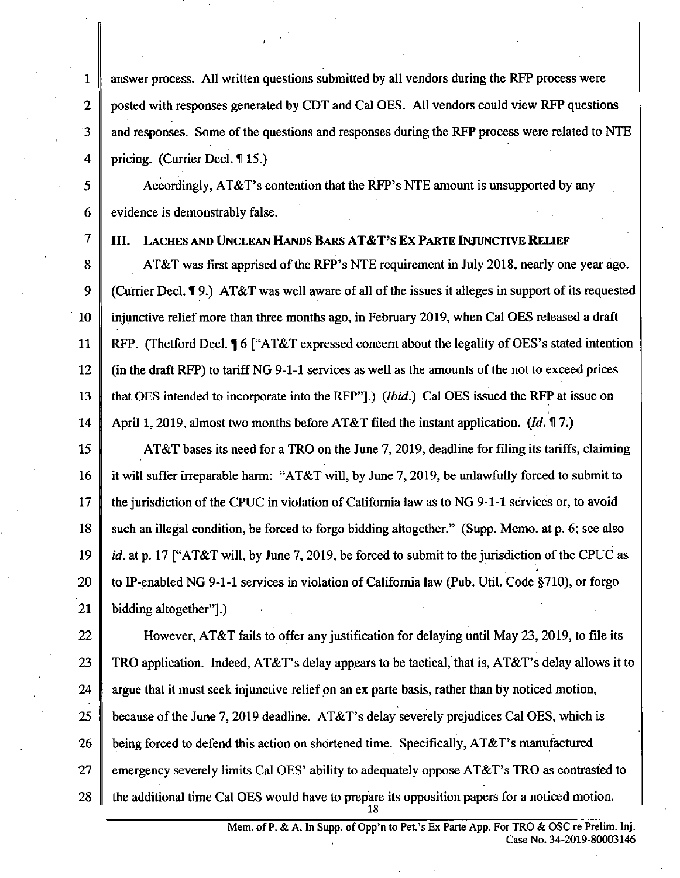1 answer process. All written questions submitted by all vendors during the RFP process were 2 posted with responses generated by CDT and Cal OES. All vendors could view RFP questions 3 and responses. Some of the questions and responses during the RFP process were related to NTE 4 pricing. (Currier Decl.  $\P$  15.)

5  $\parallel$  Accordingly, AT&T's contention that the RFP's NTE amount is unsupported by any  $6 \parallel$  evidence is demonstrably false.

# 7  $\parallel$  III. LACHES AND UNCLEAN HANDS BARS AT&T'S EX PARTE INJUNCTIVE RELIEF

8 AT&T was first apprised of the RFP's NTE requirement in July 2018, nearly one year ago. 9 Currier Decl. 19.) AT&T was well aware of all of the issues it alleges in support of its requested 10 injunctive relief more than three months ago, in Febmary 2019, when Cal OES released a draft 11 RFP. (Thetford Decl.  $\P$  6 ["AT&T expressed concern about the legality of OES's stated intention 12 (in the draft RFP) to tariff NG 9-1-1 services as well as the amounts of the not to exceed prices 13 that OES intended to incorporate into the RFP"].) (*Ibid.*) Cal OES issued the RFP at issue on 14 April 1, 2019, almost two months before AT&T filed the instant application.  $(Id, \mathcal{H}, \mathcal{H})$ 

15 AT&T bases its need for a TRO on the June 7, 2019, deadline for filing its tariffs, claiming 16 it will suffer irreparable harm: "AT&T will, by June 7, 2019, be unlawfully forced to submit to 17 the jurisdiction of the CPUC in violation of California law as to NG 9-1-1 services or, to avoid 18 such an illegal condition, be forced to forgo bidding altogether." (Supp. Memo, at p. 6; see also 19 id. at p. 17 ["AT&T will, by June 7, 2019, be forced to submit to the jurisdiction of the CPUC as 20  $\parallel$  to IP-enabled NG 9-1-1 services in violation of California law (Pub. Util. Code §710), or forgo 21 bidding altogether".)

22 However, AT&T fails to offer any justification for delaying until May 23, 2019, to file its 23 TRO application. Indeed, AT&T's delay appears to be tactical, that is, AT&T's delay allows it to 24  $\parallel$  argue that it must seek injunctive relief on an ex parte basis, rather than by noticed motion, 25 because of the June 7, 2019 deadline. AT&T's delay severely prejudices Cal OES, which is 26 being forced to defend this action on shortened time. Specifically,  $AT&T$ 's manufactured 27 emergency severely limits Cal OES' ability to adequately oppose  $AT&T$ 's TRO as contrasted to 28  $\parallel$  the additional time Cal OES would have to prepare its opposition papers for a noticed motion.  $\frac{18}{18}$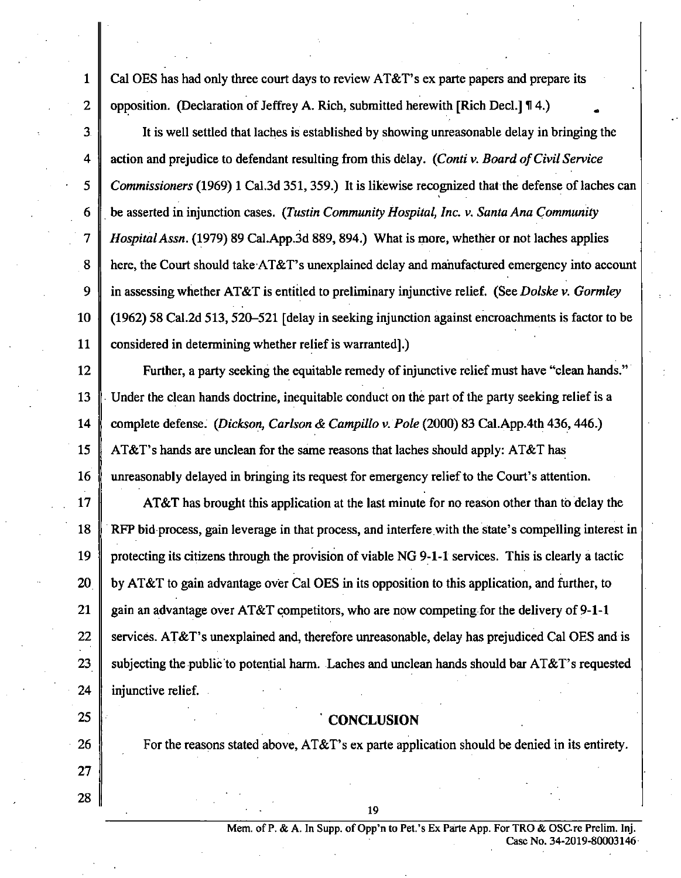1 Cal OES has had only three court days to review AT&T's ex parte papers and prepare its 2 | opposition. (Declaration of Jeffrey A. Rich, submitted herewith [Rich Decl.]  $\P$  4.)

3 It is well settled that laches is established by showing unreasonable delay in bringing the *4 action and prejudice to defendant resulting from this delay. (Conti v. Board of Civil Service*  5 Commissioners (1969) 1 Cal.3d 351, 359.) It is likewise recognized that the defense of laches can *6 be asserted in injunction cases. (Tustin Community Hospital, Inc. v. Santa Ana Community*  7 | Hospital Assn. (1979) 89 Cal.App.3d 889, 894.) What is more, whether or not laches applies 8 here, the Court should take AT&T's unexplained delay and manufactured emergency into account *9 in assessing whether AT&T is entitled to preliminary injunctive relief. (See Dolske v. Gormley*  10 (1962) 58 Cal.2d 513,520-521 [delay in seeking injunction against encroachments is factor to be 11 considered in determining whether relief is warranted].)

12 Further, a party seeking the equitable remedy of injunctive relief must have "clean hands." 13 Under the clean hands doctrine, inequitable conduct on the part of the party seeking relief is a 14 Complete defense. (Dickson, Carlson & Campillo v. Pole  $(2000)$  83 Cal.App.4th 436, 446.) 15 AT&T's hands are unclean for the same reasons that laches should apply: AT&T has 16 unreasonably delayed in bringing its request for emergency relief to the Court's attention.

17  $\parallel$  AT&T has brought this application at the last minute for no reason other than to delay the 18 RFP bid process, gain leverage in that process, and interfere with the state's compelling interest in 19 protecting its citizens through the provision of viable NG 9-1-1 services. This is clearly a tactic 20 by AT&T to gain advantage over Cal OES in its opposition to this application, and further, to 21 gain an advantage over AT&T competitors, who are now competing for the delivery of 9-1-1 22 Services. AT&T's unexplained and, therefore unreasonable, delay has prejudiced Cal OES and is 23 Subjecting the public to potential harm. Laches and unclean hands should bar  $AT&T$ 's requested 24 injunctive relief.

# **25** CONCLUSION

19

26 For the reasons stated above,  $AT&T$ 's ex parte application should be denied in its entirety.

27 28

> Mem. of P. & A. In Supp. of Opp'n to Pet.'s Ex Parte App. For TRO & OSCre Prelim. Inj. Case No. 34-2019-80003146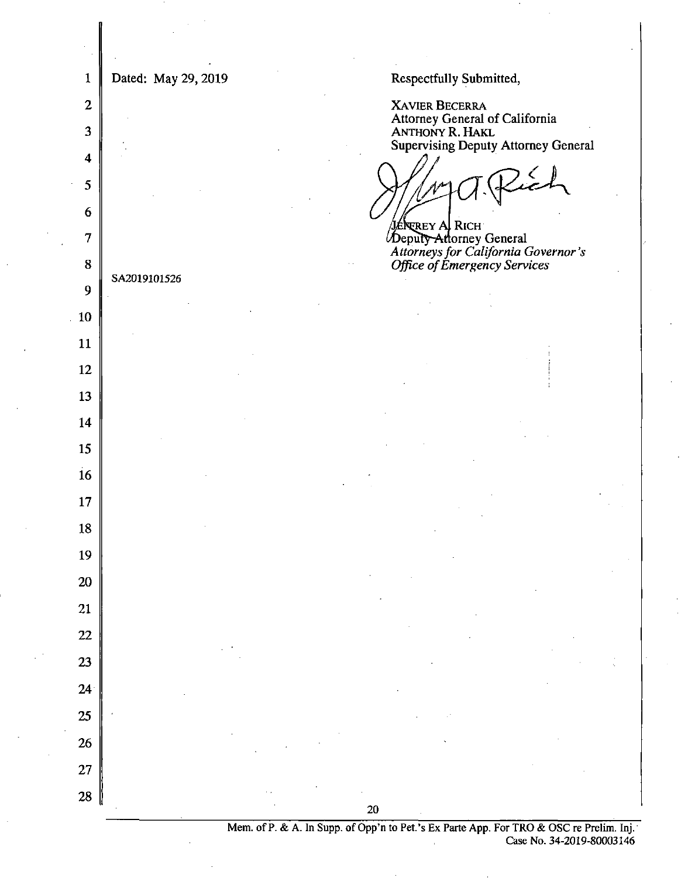| 1                       | Dated: May 29, 2019<br>Respectfully Submitted,                                                 |  |  |
|-------------------------|------------------------------------------------------------------------------------------------|--|--|
| $\boldsymbol{2}$        | <b>XAVIER BECERRA</b><br>Attorney General of California                                        |  |  |
| $\overline{\mathbf{3}}$ | ANTHONY R. HAKL<br><b>Supervising Deputy Attorney General</b>                                  |  |  |
| $\boldsymbol{4}$        |                                                                                                |  |  |
| 5                       |                                                                                                |  |  |
| 6                       | J <b>énerey Al Rich</b>                                                                        |  |  |
| 7                       | Deputy-Attorney General<br>Attorneys for California Governor's<br>Office of Emergency Services |  |  |
| ${\bf 8}$               | SA2019101526                                                                                   |  |  |
| 9                       |                                                                                                |  |  |
| 10<br>11                |                                                                                                |  |  |
| 12                      |                                                                                                |  |  |
| 13                      |                                                                                                |  |  |
| 14                      |                                                                                                |  |  |
| 15                      |                                                                                                |  |  |
| 16                      |                                                                                                |  |  |
| 17                      |                                                                                                |  |  |
| 18                      |                                                                                                |  |  |
| 19                      |                                                                                                |  |  |
| $20\,$                  |                                                                                                |  |  |
| 21                      |                                                                                                |  |  |
| 22                      |                                                                                                |  |  |
| 23                      |                                                                                                |  |  |
| 24 <sup>1</sup>         |                                                                                                |  |  |
| 25                      |                                                                                                |  |  |
| <b>26</b>               |                                                                                                |  |  |
| 27                      |                                                                                                |  |  |
| 28                      | 20                                                                                             |  |  |
|                         |                                                                                                |  |  |

Mem. of P. & A. In Supp. of Opp'n to Pet.'s Ex Parte App. For TRO & OSC re Prelim. Inj. Case No. 34-2019-80003146